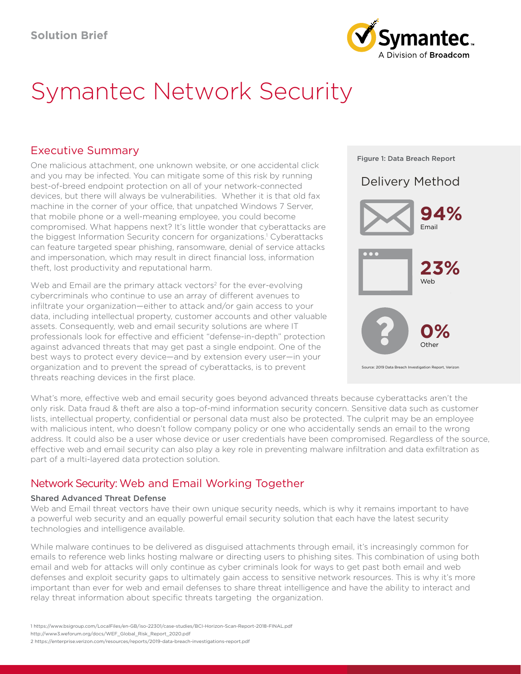

# Symantec Network Security

## Executive Summary

One malicious attachment, one unknown website, or one accidental click and you may be infected. You can mitigate some of this risk by running best-of-breed endpoint protection on all of your network-connected devices, but there will always be vulnerabilities. Whether it is that old fax machine in the corner of your office, that unpatched Windows 7 Server, that mobile phone or a well-meaning employee, you could become compromised. What happens next? It's little wonder that cyberattacks are the biggest Information Security concern for organizations.<sup>1</sup> Cyberattacks can feature targeted spear phishing, ransomware, denial of service attacks and impersonation, which may result in direct financial loss, information theft, lost productivity and reputational harm.

Web and Email are the primary attack vectors<sup>2</sup> for the ever-evolving cybercriminals who continue to use an array of different avenues to infiltrate your organization—either to attack and/or gain access to your data, including intellectual property, customer accounts and other valuable assets. Consequently, web and email security solutions are where IT professionals look for effective and efficient "defense-in-depth" protection against advanced threats that may get past a single endpoint. One of the best ways to protect every device—and by extension every user—in your organization and to prevent the spread of cyberattacks, is to prevent threats reaching devices in the first place.



What's more, effective web and email security goes beyond advanced threats because cyberattacks aren't the only risk. Data fraud & theft are also a top-of-mind information security concern. Sensitive data such as customer lists, intellectual property, confidential or personal data must also be protected. The culprit may be an employee with malicious intent, who doesn't follow company policy or one who accidentally sends an email to the wrong address. It could also be a user whose device or user credentials have been compromised. Regardless of the source, effective web and email security can also play a key role in preventing malware infiltration and data exfiltration as part of a multi-layered data protection solution.

## Network Security: Web and Email Working Together

### Shared Advanced Threat Defense

Web and Email threat vectors have their own unique security needs, which is why it remains important to have a powerful web security and an equally powerful email security solution that each have the latest security technologies and intelligence available.

While malware continues to be delivered as disguised attachments through email, it's increasingly common for emails to reference web links hosting malware or directing users to phishing sites. This combination of using both email and web for attacks will only continue as cyber criminals look for ways to get past both email and web defenses and exploit security gaps to ultimately gain access to sensitive network resources. This is why it's more important than ever for web and email defenses to share threat intelligence and have the ability to interact and relay threat information about specific threats targeting the organization.

<sup>1</sup> https://www.bsigroup.com/LocalFiles/en-GB/iso-22301/case-studies/BCI-Horizon-Scan-Report-2018-FINAL.pdf

http://www3.weforum.org/docs/WEF\_Global\_Risk\_Report\_2020.pdf

<sup>2</sup> https://enterprise.verizon.com/resources/reports/2019-data-breach-investigations-report.pdf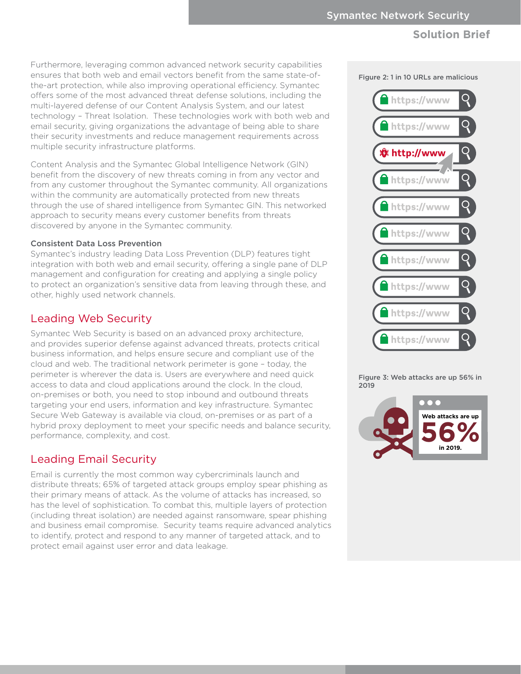Furthermore, leveraging common advanced network security capabilities ensures that both web and email vectors benefit from the same state-ofthe-art protection, while also improving operational efficiency. Symantec offers some of the most advanced threat defense solutions, including the multi-layered defense of our Content Analysis System, and our latest technology – Threat Isolation. These technologies work with both web and email security, giving organizations the advantage of being able to share their security investments and reduce management requirements across multiple security infrastructure platforms.

Content Analysis and the Symantec Global Intelligence Network (GIN) benefit from the discovery of new threats coming in from any vector and from any customer throughout the Symantec community. All organizations within the community are automatically protected from new threats through the use of shared intelligence from Symantec GIN. This networked approach to security means every customer benefits from threats discovered by anyone in the Symantec community.

#### Consistent Data Loss Prevention

Symantec's industry leading Data Loss Prevention (DLP) features tight integration with both web and email security, offering a single pane of DLP management and configuration for creating and applying a single policy to protect an organization's sensitive data from leaving through these, and other, highly used network channels.

## Leading Web Security

Symantec Web Security is based on an advanced proxy architecture, and provides superior defense against advanced threats, protects critical business information, and helps ensure secure and compliant use of the cloud and web. The traditional network perimeter is gone – today, the perimeter is wherever the data is. Users are everywhere and need quick access to data and cloud applications around the clock. In the cloud, on-premises or both, you need to stop inbound and outbound threats targeting your end users, information and key infrastructure. Symantec Secure Web Gateway is available via cloud, on-premises or as part of a hybrid proxy deployment to meet your specific needs and balance security, performance, complexity, and cost.

## Leading Email Security

Email is currently the most common way cybercriminals launch and distribute threats; 65% of targeted attack groups employ spear phishing as their primary means of attack. As the volume of attacks has increased, so has the level of sophistication. To combat this, multiple layers of protection (including threat isolation) are needed against ransomware, spear phishing and business email compromise. Security teams require advanced analytics to identify, protect and respond to any manner of targeted attack, and to protect email against user error and data leakage.

Figure 2: 1 in 10 URLs are malicious



Figure 3: Web attacks are up 56% in 2019

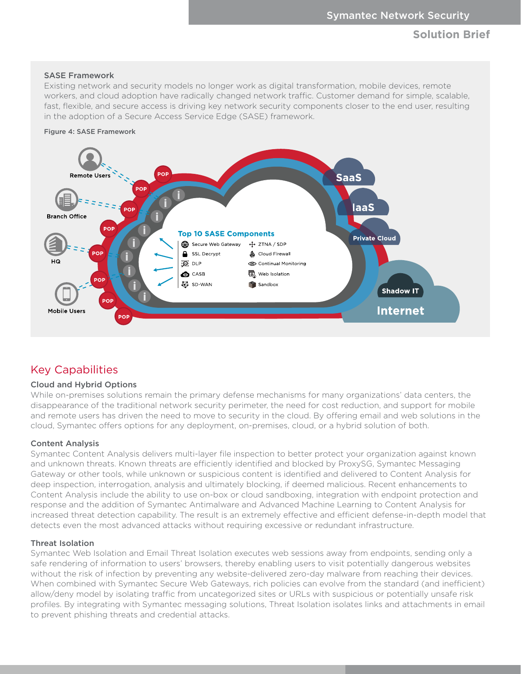#### SASE Framework

Existing network and security models no longer work as digital transformation, mobile devices, remote workers, and cloud adoption have radically changed network traffic. Customer demand for simple, scalable, fast, flexible, and secure access is driving key network security components closer to the end user, resulting in the adoption of a Secure Access Service Edge (SASE) framework.





## Key Capabilities

#### Cloud and Hybrid Options

While on-premises solutions remain the primary defense mechanisms for many organizations' data centers, the disappearance of the traditional network security perimeter, the need for cost reduction, and support for mobile and remote users has driven the need to move to security in the cloud. By offering email and web solutions in the cloud, Symantec offers options for any deployment, on-premises, cloud, or a hybrid solution of both.

#### Content Analysis

Symantec Content Analysis delivers multi-layer file inspection to better protect your organization against known and unknown threats. Known threats are efficiently identified and blocked by ProxySG, Symantec Messaging Gateway or other tools, while unknown or suspicious content is identified and delivered to Content Analysis for deep inspection, interrogation, analysis and ultimately blocking, if deemed malicious. Recent enhancements to Content Analysis include the ability to use on-box or cloud sandboxing, integration with endpoint protection and response and the addition of Symantec Antimalware and Advanced Machine Learning to Content Analysis for increased threat detection capability. The result is an extremely effective and efficient defense-in-depth model that detects even the most advanced attacks without requiring excessive or redundant infrastructure.

#### Threat Isolation

Symantec Web Isolation and Email Threat Isolation executes web sessions away from endpoints, sending only a safe rendering of information to users' browsers, thereby enabling users to visit potentially dangerous websites without the risk of infection by preventing any website-delivered zero-day malware from reaching their devices. When combined with Symantec Secure Web Gateways, rich policies can evolve from the standard (and inefficient) allow/deny model by isolating traffic from uncategorized sites or URLs with suspicious or potentially unsafe risk profiles. By integrating with Symantec messaging solutions, Threat Isolation isolates links and attachments in email to prevent phishing threats and credential attacks.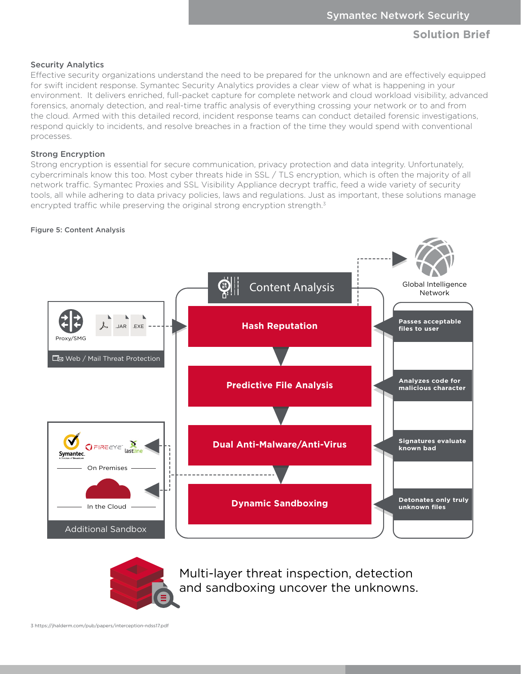#### Security Analytics

Effective security organizations understand the need to be prepared for the unknown and are effectively equipped for swift incident response. Symantec Security Analytics provides a clear view of what is happening in your environment. It delivers enriched, full-packet capture for complete network and cloud workload visibility, advanced forensics, anomaly detection, and real-time traffic analysis of everything crossing your network or to and from the cloud. Armed with this detailed record, incident response teams can conduct detailed forensic investigations, respond quickly to incidents, and resolve breaches in a fraction of the time they would spend with conventional processes.

#### Strong Encryption

Strong encryption is essential for secure communication, privacy protection and data integrity. Unfortunately, cybercriminals know this too. Most cyber threats hide in SSL / TLS encryption, which is often the majority of all network traffic. Symantec Proxies and SSL Visibility Appliance decrypt traffic, feed a wide variety of security tools, all while adhering to data privacy policies, laws and regulations. Just as important, these solutions manage encrypted traffic while preserving the original strong encryption strength.<sup>3</sup>

#### Figure 5: Content Analysis





Multi-layer threat inspection, detection and sandboxing uncover the unknowns.

3 https://jhalderm.com/pub/papers/interception-ndss17.pdf